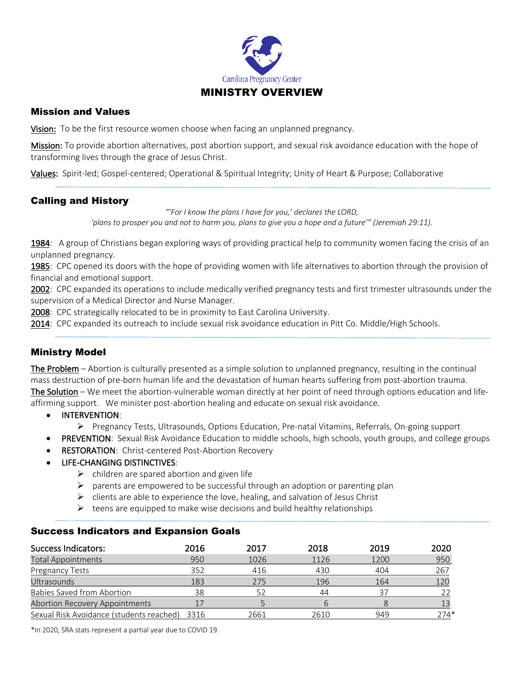

### Mission and Values

Vision: To be the first resource women choose when facing an unplanned pregnancy.

Mission: To provide abortion alternatives, post abortion support, and sexual risk avoidance education with the hope of transforming lives through the grace of Jesus Christ.

Values: Spirit-led; Gospel-centered; Operational & Spiritual Integrity; Unity of Heart & Purpose; Collaborative

# Calling and History

*"'For I know the plans I have for you,' declares the LORD, 'plans to prosper you and not to harm you, plans to give you a hope and a future'" (Jeremiah 29:11).*

1984: A group of Christians began exploring ways of providing practical help to community women facing the crisis of an unplanned pregnancy.

1985: CPC opened its doors with the hope of providing women with life alternatives to abortion through the provision of financial and emotional support.

2002: CPC expanded its operations to include medically verified pregnancy tests and first trimester ultrasounds under the supervision of a Medical Director and Nurse Manager.

2008: CPC strategically relocated to be in proximity to East Carolina University.

2014: CPC expanded its outreach to include sexual risk avoidance education in Pitt Co. Middle/High Schools.

# Ministry Model

The Problem – Abortion is culturally presented as a simple solution to unplanned pregnancy, resulting in the continual mass destruction of pre-born human life and the devastation of human hearts suffering from post-abortion trauma. The Solution – We meet the abortion-vulnerable woman directly at her point of need through options education and lifeaffirming support. We minister post-abortion healing and educate on sexual risk avoidance.

- INTERVENTION:
	- Ø Pregnancy Tests, Ultrasounds, Options Education, Pre-natal Vitamins, Referrals, On-going support
- PREVENTION: Sexual Risk Avoidance Education to middle schools, high schools, youth groups, and college groups
	- RESTORATION: Christ-centered Post-Abortion Recovery
- LIFE-CHANGING DISTINCTIVES:
	- $\triangleright$  children are spared abortion and given life
	- $\triangleright$  parents are empowered to be successful through an adoption or parenting plan
	- $\triangleright$  clients are able to experience the love, healing, and salvation of Jesus Christ
	- $\triangleright$  teens are equipped to make wise decisions and build healthy relationships

#### Success Indicators and Expansion Goals

| Success Indicators:                      | 2016 | 2017 | 2018 | 2019 | 2020 |
|------------------------------------------|------|------|------|------|------|
| <b>Total Appointments</b>                | 950  | 1026 | 1126 | 1200 | 950  |
| Pregnancy Tests                          | 352  | 416  | 430  | 404  | 267  |
| Ultrasounds                              | 183  | 275  | 196  | 164  | 120  |
| <b>Babies Saved from Abortion</b>        | 38   | 52   | 44   | 37   |      |
| Abortion Recovery Appointments           |      |      | 6    |      |      |
| Sexual Risk Avoidance (students reached) | 3316 | 2661 | 2610 | 949  | 274* |

\*In 2020, SRA stats represent a partial year due to COVID 19.